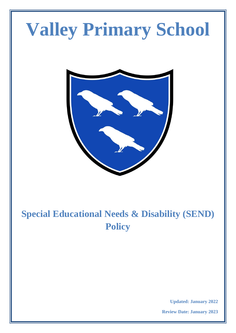# **Valley Primary School**



# **Special Educational Needs & Disability (SEND) Policy**

**Updated: January 2022**

**Review Date: January 2023**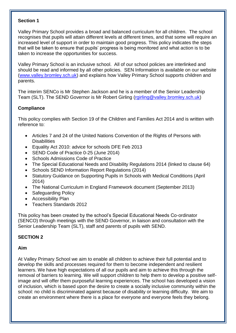#### **Section 1**

Valley Primary School provides a broad and balanced curriculum for all children. The school recognises that pupils will attain different levels at different times, and that some will require an increased level of support in order to maintain good progress. This policy indicates the steps that will be taken to ensure that pupils' progress is being monitored and what action is to be taken to increase the opportunities for success.

Valley Primary School is an inclusive school. All of our school policies are interlinked and should be read and informed by all other policies. SEN Information is available on our website [\(www.valley.bromley.sch.uk\)](http://www.valley.bromley.sch.uk/) and explains how Valley Primary School supports children and parents.

The interim SENCo is Mr Stephen Jackson and he is a member of the Senior Leadership Team (SLT). The SEND Governor is Mr Robert Girling [\(rgirling@valley.bromley.sch.uk\)](mailto:rgirling@valley.bromley.sch.uk)

#### **Compliance**

This policy complies with Section 19 of the Children and Families Act 2014 and is written with reference to:

- Articles 7 and 24 of the United Nations Convention of the Rights of Persons with **Disabilities**
- Equality Act 2010: advice for schools DFE Feb 2013
- SEND Code of Practice 0-25 (June 2014)
- Schools Admissions Code of Practice
- The Special Educational Needs and Disability Regulations 2014 (linked to clause 64)
- Schools SEND Information Report Regulations (2014)
- Statutory Guidance on Supporting Pupils in Schools with Medical Conditions (April 2014)
- The National Curriculum in England Framework document (September 2013)
- Safeguarding Policy
- Accessibility Plan
- Teachers Standards 2012

This policy has been created by the school's Special Educational Needs Co-ordinator (SENCO) through meetings with the SEND Governor, in liaison and consultation with the Senior Leadership Team (SLT), staff and parents of pupils with SEND*.* 

#### **SECTION 2**

#### **Aim**

At Valley Primary School we aim to enable all children to achieve their full potential and to develop the skills and processes required for them to become independent and resilient learners. We have high expectations of all our pupils and aim to achieve this through the removal of barriers to learning. We will support children to help them to develop a positive selfimage and will offer them purposeful learning experiences. The school has developed a vision of inclusion, which is based upon the desire to create a socially inclusive community within the school: no child is discriminated against because of disability or learning difficulty. We aim to create an environment where there is a place for everyone and everyone feels they belong.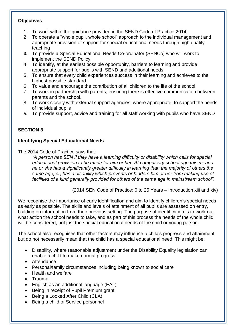#### **Objectives**

- 1. To work within the guidance provided in the SEND Code of Practice 2014
- 2. To operate a "whole pupil, whole school" approach to the individual management and appropriate provision of support for special educational needs through high quality teaching
- **3.** To provide a Special Educational Needs Co-ordinator (SENCo) who will work to implement the SEND Policy
- 4. To identify, at the earliest possible opportunity, barriers to learning and provide appropriate support for pupils with SEND and additional needs
- 5. To ensure that every child experiences success in their learning and achieves to the highest possible standard
- 6. To value and encourage the contribution of all children to the life of the school
- 7. To work in partnership with parents, ensuring there is effective communication between parents and the school.
- 8. To work closely with external support agencies, where appropriate, to support the needs of individual pupils
- *9.* To provide support, advice and training for all staff working with pupils who have SEND

# **SECTION 3**

#### **Identifying Special Educational Needs**

The 2014 Code of Practice says that:

*"A person has SEN if they have a learning difficulty or disability which calls for special educational provision to be made for him or her. At compulsory school age this means he or she has a significantly greater difficulty in learning than the majority of others the same age, or, has a disability which prevents or hinders him or her from making use of facilities of a kind generally provided for others of the same age in mainstream school".*

(2014 SEN Code of Practice: 0 to 25 Years – Introduction xiii and xiv)

We recognise the importance of early identification and aim to identify children's special needs as early as possible. The skills and levels of attainment of all pupils are assessed on entry, building on information from their previous setting. The purpose of identification is to work out what action the school needs to take, and as part of this process the needs of the whole child will be considered, not just the special educational needs of the child or young person.

The school also recognises that other factors may influence a child's progress and attainment, but do not necessarily mean that the child has a special educational need. This might be:

- Disability, where reasonable adjustment under the Disability Equality legislation can enable a child to make normal progress
- Attendance
- Personal/family circumstances including being known to social care
- Health and welfare
- Trauma
- English as an additional language (EAL)
- Being in receipt of Pupil Premium grant
- Being a Looked After Child (CLA)
- Being a child of Service personnel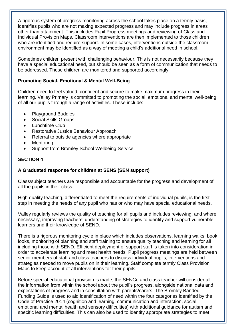A rigorous system of progress monitoring across the school takes place on a termly basis, identifies pupils who are not making expected progress and may include progress in areas other than attainment. This includes Pupil Progress meetings and reviewing of Class and Individual Provision Maps. Classroom interventions are then implemented to those children who are identified and require support. In some cases, interventions outside the classroom environment may be identified as a way of meeting a child's additional need in school.

Sometimes children present with challenging behaviour. This is not necessarily because they have a special educational need, but should be seen as a form of communication that needs to be addressed. These children are monitored and supported accordingly.

# **Promoting Social, Emotional & Mental Well-Being**

Children need to feel valued, confident and secure to make maximum progress in their learning. Valley Primary is committed to promoting the social, emotional and mental well-being of all our pupils through a range of activities. These include:

- Playground Buddies
- Social Skills Groups
- Lunchtime Club
- Restorative Justice Behaviour Approach
- Referral to outside agencies where appropriate
- **Mentoring**
- Support from Bromley School Wellbeing Service

#### **SECTION 4**

# **A Graduated response for children at SENS (SEN support)**

Class/subject teachers are responsible and accountable for the progress and development of all the pupils in their class.

High quality teaching, differentiated to meet the requirements of individual pupils, is the first step in meeting the needs of any pupil who has or who may have special educational needs.

Valley regularly reviews the quality of teaching for all pupils and includes reviewing, and where necessary, improving teachers' understanding of strategies to identify and support vulnerable learners and their knowledge of SEND.

There is a rigorous monitoring cycle in place which includes observations, learning walks, book looks, monitoring of planning and staff training to ensure quality teaching and learning for all including those with SEND. Efficient deployment of support staff is taken into consideration in order to accelerate learning and meet health needs. Pupil progress meetings are held between senior members of staff and class teachers to discuss individual pupils, interventions and strategies needed to move pupils on in their learning. Staff complete termly Class Provision Maps to keep account of all interventions for their pupils.

Before special educational provision is made, the SENCo and class teacher will consider all the information from within the school about the pupil's progress, alongside national data and expectations of progress and in consultation with parents/carers. The Bromley Banded Funding Guide is used to aid identification of need within the four categories identified by the Code of Practice 2014 (cognition and learning, communication and interaction, social emotional and mental health and sensory difficulties) with additional guidance for autism and specific learning difficulties. This can also be used to identify appropriate strategies to meet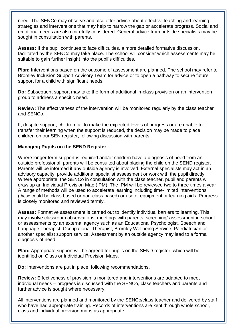need. The SENCo may observe and also offer advice about effective teaching and learning strategies and interventions that may help to narrow the gap or accelerate progress. Social and emotional needs are also carefully considered. General advice from outside specialists may be sought in consultation with parents.

**Assess:** If the pupil continues to face difficulties, a more detailed formative discussion, facilitated by the SENCo may take place. The school will consider which assessments may be suitable to gain further insight into the pupil's difficulties.

**Plan:** Interventions based on the outcome of assessment are planned. The school may refer to Bromley Inclusion Support Advisory Team for advice or to open a pathway to secure future support for a child with significant needs.

**Do:** Subsequent support may take the form of additional in-class provision or an intervention group to address a specific need.

**Review:** The effectiveness of the intervention will be monitored regularly by the class teacher and SENCo.

If, despite support, children fail to make the expected levels of progress or are unable to transfer their learning when the support is reduced, the decision may be made to place children on our SEN register, following discussion with parents.

#### **Managing Pupils on the SEND Register**

Where longer term support is required and/or children have a diagnosis of need from an outside professional, parents will be consulted about placing the child on the SEND register. Parents will be informed if any outside agency is involved. External specialists may act in an advisory capacity, provide additional specialist assessment or work with the pupil directly. Where appropriate, the SENCo in consultation with the class teacher, pupil and parents will draw up an Individual Provision Map (IPM). The IPM will be reviewed two to three times a year. A range of methods will be used to accelerate learning including time-limited interventions (these could be class based or non-class based) or use of equipment or learning aids. Progress is closely monitored and reviewed termly.

**Assess:** Formative assessment is carried out to identify individual barriers to learning. This may involve classroom observations, meetings with parents, screening/ assessment in school or assessments by an external agency such as an Educational Psychologist, Speech and Language Therapist, Occupational Therapist, Bromley Wellbeing Service, Paediatrician or another specialist support service. Assessment by an outside agency may lead to a formal diagnosis of need.

**Plan:** Appropriate support will be agreed for pupils on the SEND register, which will be identified on Class or Individual Provision Maps.

**Do:** Interventions are put in place, following recommendations.

**Review:** Effectiveness of provision is monitored and interventions are adapted to meet individual needs – progress is discussed with the SENCo, class teachers and parents and further advice is sought where necessary.

All interventions are planned and monitored by the SENCo/class teacher and delivered by staff who have had appropriate training. Records of interventions are kept through whole school, class and individual provision maps as appropriate.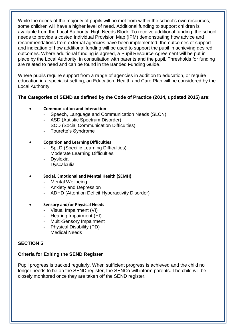While the needs of the majority of pupils will be met from within the school's own resources, some children will have a higher level of need. Additional funding to support children is available from the Local Authority, High Needs Block. To receive additional funding, the school needs to provide a costed Individual Provision Map (IPM) demonstrating how advice and recommendations from external agencies have been implemented, the outcomes of support and indication of how additional funding will be used to support the pupil in achieving desired outcomes. Where additional funding is agreed, a Pupil Resource Agreement will be put in place by the Local Authority, in consultation with parents and the pupil. Thresholds for funding are related to need and can be found in the Banded Funding Guide.

Where pupils require support from a range of agencies in addition to education, or require education in a specialist setting, an Education, Health and Care Plan will be considered by the Local Authority.

#### **The Categories of SEND as defined by the Code of Practice (2014, updated 2015) are:**

#### • **Communication and Interaction**

- Speech, Language and Communication Needs (SLCN)
- ASD (Autistic Spectrum Disorder)
- SCD (Social Communication Difficulties)
- Tourette's Syndrome

#### • **Cognition and Learning Difficulties**

- SpLD (Specific Learning Difficulties)
- Moderate Learning Difficulties
- **Dyslexia**
- **Dyscalculia**

#### • **Social, Emotional and Mental Health (SEMH)**

- Mental Wellbeing
- Anxiety and Depression
- ADHD (Attention Deficit Hyperactivity Disorder)

#### • **Sensory and/or Physical Needs**

- Visual Impairment (VI)
- Hearing Impairment (HI)
- Multi-Sensory Impairment
- Physical Disability (PD)
- Medical Needs

# **SECTION 5**

# **Criteria for Exiting the SEND Register**

Pupil progress is tracked regularly. When sufficient progress is achieved and the child no longer needs to be on the SEND register, the SENCo will inform parents. The child will be closely monitored once they are taken off the SEND register.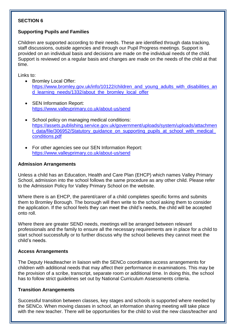#### **SECTION 6**

# **Supporting Pupils and Families**

Children are supported according to their needs. These are identified through data tracking, staff discussions, outside agencies and through our Pupil Progress meetings. Support is provided on an individual basis and decisions are made on the individual needs of the child. Support is reviewed on a regular basis and changes are made on the needs of the child at that time.

Links to:

- Bromley Local Offer: [https://www.bromley.gov.uk/info/10122/children\\_and\\_young\\_adults\\_with\\_disabilities\\_an](https://www.bromley.gov.uk/info/10122/children_and_young_adults_with_disabilities_and_learning_needs/1332/about_the_bromley_local_offer) d learning needs/1332/about the bromley local offer
- SEN Information Report: <https://www.valleyprimary.co.uk/about-us/send>
- School policy on managing medical conditions: [https://assets.publishing.service.gov.uk/government/uploads/system/uploads/attachmen](https://assets.publishing.service.gov.uk/government/uploads/system/uploads/attachment_data/file/306952/Statutory_guidance_on_supporting_pupils_at_school_with_medical_conditions.pdf) t\_data/file/306952/Statutory\_quidance\_on\_supporting\_pupils\_at\_school\_with\_medical [conditions.pdf](https://assets.publishing.service.gov.uk/government/uploads/system/uploads/attachment_data/file/306952/Statutory_guidance_on_supporting_pupils_at_school_with_medical_conditions.pdf)
- For other agencies see our SEN Information Report: <https://www.valleyprimary.co.uk/about-us/send>

#### **Admission Arrangements**

Unless a child has an Education, Health and Care Plan (EHCP) which names Valley Primary School, admission into the school follows the same procedure as any other child. Please refer to the Admission Policy for Valley Primary School on the website.

Where there is an EHCP, the parent/carer of a child completes specific forms and submits them to Bromley Borough. The borough will then write to the school asking them to consider the application. If the school feels they can meet the child's needs, the child will be accepted onto roll.

Where there are greater SEND needs, meetings will be arranged between relevant professionals and the family to ensure all the necessary requirements are in place for a child to start school successfully or to further discuss why the school believes they cannot meet the child's needs.

# **Access Arrangements**

The Deputy Headteacher in liaison with the SENCo coordinates access arrangements for children with additional needs that may affect their performance in examinations. This may be the provision of a scribe, transcript, separate room or additional time. In doing this, the school has to follow strict guidelines set out by National Curriculum Assessments criteria.

# **Transition Arrangements**

Successful transition between classes, key stages and schools is supported where needed by the SENCo. When moving classes in school, an information sharing meeting will take place with the new teacher. There will be opportunities for the child to visit the new class/teacher and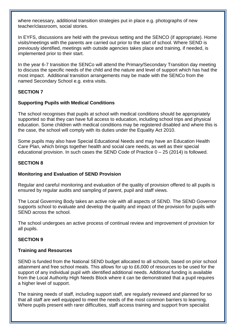where necessary, additional transition strategies put in place e.g. photographs of new teacher/classroom, social stories.

In EYFS, discussions are held with the previous setting and the SENCO (if appropriate). Home visits/meetings with the parents are carried out prior to the start of school. Where SEND is previously identified, meetings with outside agencies takes place and training, if needed, is implemented prior to their start.

In the year 6-7 transition the SENCo will attend the Primary/Secondary Transition day meeting to discuss the specific needs of the child and the nature and level of support which has had the most impact. Additional transition arrangements may be made with the SENCo from the named Secondary School e.g. extra visits.

#### **SECTION 7**

#### **Supporting Pupils with Medical Conditions**

The school recognises that pupils at school with medical conditions should be appropriately supported so that they can have full access to education, including school trips and physical education. Some children with medical conditions may be registered disabled and where this is the case, the school will comply with its duties under the Equality Act 2010.

Some pupils may also have Special Educational Needs and may have an Education Health Care Plan, which brings together health and social care needs, as well as their special educational provision. In such cases the SEND Code of Practice  $0 - 25$  (2014) is followed.

#### **SECTION 8**

#### **Monitoring and Evaluation of SEND Provision**

Regular and careful monitoring and evaluation of the quality of provision offered to all pupils is ensured by regular audits and sampling of parent, pupil and staff views.

The Local Governing Body takes an active role with all aspects of SEND. The SEND Governor supports school to evaluate and develop the quality and impact of the provision for pupils with SEND across the school.

The school undergoes an active process of continual review and improvement of provision for all pupils.

#### **SECTION 9**

#### **Training and Resources**

SEND is funded from the National SEND budget allocated to all schools, based on prior school attainment and free school meals. This allows for up to £6,000 of resources to be used for the support of any individual pupil with identified additional needs. Additional funding is available from the Local Authority High Needs Block where it can be demonstrated that a pupil requires a higher level of support.

The training needs of staff, including support staff, are regularly reviewed and planned for so that all staff are well equipped to meet the needs of the most common barriers to learning. Where pupils present with rarer difficulties, staff access training and support from specialist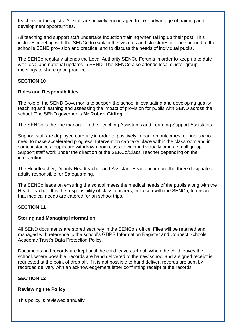teachers or therapists. All staff are actively encouraged to take advantage of training and development opportunities.

All teaching and support staff undertake induction training when taking up their post. This includes meeting with the SENCo to explain the systems and structures in place around to the school's SEND provision and practice, and to discuss the needs of individual pupils.

The SENCo regularly attends the Local Authority SENCo Forums in order to keep up to date with local and national updates in SEND. The SENCo also attends local cluster group meetings to share good practice.

# **SECTION 10**

#### **Roles and Responsibilities**

The role of the SEND Governor is to support the school in evaluating and developing quality teaching and learning and assessing the impact of provision for pupils with SEND across the school. The SEND governor is **Mr Robert Girling.**

The SENCo is the line manager to the Teaching Assistants and Learning Support Assistants

Support staff are deployed carefully in order to positively impact on outcomes for pupils who need to make accelerated progress. Intervention can take place within the classroom and in some instances, pupils are withdrawn from class to work individually or in a small group. Support staff work under the direction of the SENCo/Class Teacher depending on the intervention.

The Headteacher, Deputy Headteacher and Assistant Headteacher are the three designated adults responsible for Safeguarding.

The SENCo leads on ensuring the school meets the medical needs of the pupils along with the Head Teacher. It is the responsibility of class teachers, in liaison with the SENCo, to ensure that medical needs are catered for on school trips.

# **SECTION 11**

#### **Storing and Managing Information**

All SEND documents are stored securely in the SENCo's office. Files will be retained and managed with reference to the school's GDPR Information Register and Connect Schools Academy Trust's Data Protection Policy.

Documents and records are kept until the child leaves school. When the child leaves the school, where possible, records are hand delivered to the new school and a signed receipt is requested at the point of drop off. If it is not possible to hand deliver, records are sent by recorded delivery with an acknowledgement letter confirming receipt of the records.

# **SECTION 12**

# **Reviewing the Policy**

This policy is reviewed annually.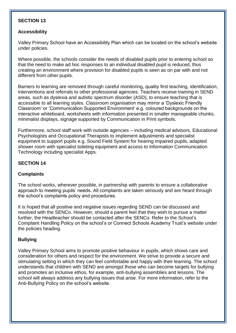#### **SECTION 13**

#### **Accessibility**

Valley Primary School have an Accessibility Plan which can be located on the school's website under policies.

Where possible, the schools consider the needs of disabled pupils prior to entering school so that the need to make ad hoc responses to an individual disabled pupil is reduced, thus creating an environment where provision for disabled pupils is seen as on par with and not different from other pupils.

Barriers to learning are removed through careful monitoring, quality first teaching, identification, interventions and referrals to other professional agencies. Teachers receive training in SEND areas, such as dyslexia and autistic spectrum disorder (ASD), to ensure teaching that is accessible to all learning styles. Classroom organisation may mirror a 'Dyslexic Friendly Classroom' or 'Communication Supported Environment' e.g. coloured backgrounds on the interactive whiteboard, worksheets with information presented in smaller manageable chunks, minimalist displays, signage supported by Communication in Print symbols.

Furthermore, school staff work with outside agencies – including medical advisors, Educational Psychologists and Occupational Therapists to implement adjustments and specialist equipment to support pupils e.g. Sound Field System for hearing impaired pupils, adapted shower room with specialist toileting equipment and access to Information Communication Technology including specialist Apps.

#### **SECTION 14**

#### **Complaints**

The school works, wherever possible, in partnership with parents to ensure a collaborative approach to meeting pupils' needs. All complaints are taken seriously and are heard through the school's complaints policy and procedures.

It is hoped that all positive and negative issues regarding SEND can be discussed and resolved with the SENCo. However, should a parent feel that they wish to pursue a matter further, the Headteacher should be contacted after the SENCo. Refer to the School's Complaint Handling Policy on the school's or Connect Schools Academy Trust's website under the policies heading.

#### **Bullying**

Valley Primary School aims to promote positive behaviour in pupils, which shows care and consideration for others and respect for the environment. We strive to provide a secure and stimulating setting in which they can feel comfortable and happy with their learning. The school understands that children with SEND are amongst those who can become targets for bullying and promotes an inclusive ethos, for example, anti-bullying assemblies and lessons. The school will always address any bullying issues that arise. For more information, refer to the Anti-Bullying Policy on the school's website.